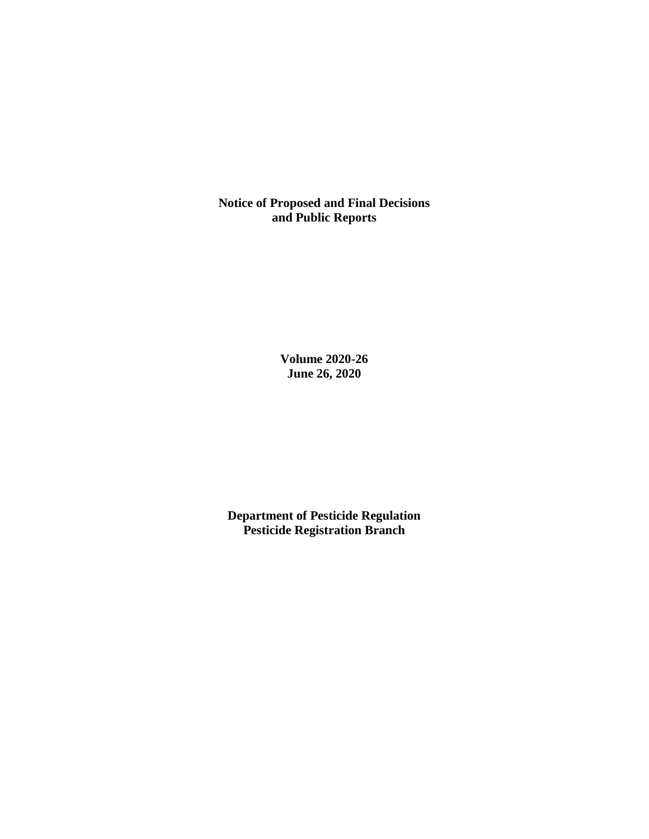**Notice of Proposed and Final Decisions and Public Reports**

> **Volume 2020-26 June 26, 2020**

**Department of Pesticide Regulation Pesticide Registration Branch**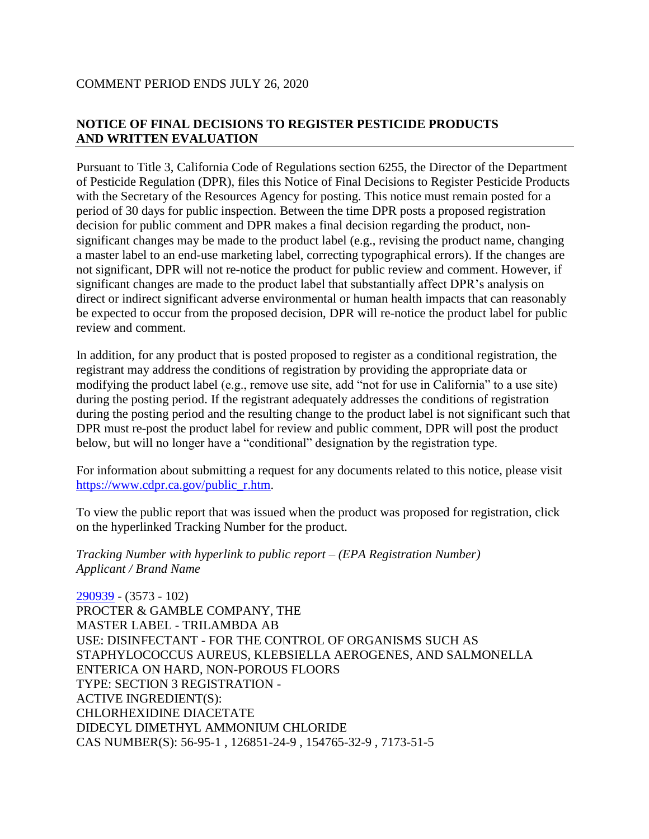# **NOTICE OF FINAL DECISIONS TO REGISTER PESTICIDE PRODUCTS AND WRITTEN EVALUATION**

Pursuant to Title 3, California Code of Regulations section 6255, the Director of the Department of Pesticide Regulation (DPR), files this Notice of Final Decisions to Register Pesticide Products with the Secretary of the Resources Agency for posting. This notice must remain posted for a period of 30 days for public inspection. Between the time DPR posts a proposed registration decision for public comment and DPR makes a final decision regarding the product, nonsignificant changes may be made to the product label (e.g., revising the product name, changing a master label to an end-use marketing label, correcting typographical errors). If the changes are not significant, DPR will not re-notice the product for public review and comment. However, if significant changes are made to the product label that substantially affect DPR's analysis on direct or indirect significant adverse environmental or human health impacts that can reasonably be expected to occur from the proposed decision, DPR will re-notice the product label for public review and comment.

In addition, for any product that is posted proposed to register as a conditional registration, the registrant may address the conditions of registration by providing the appropriate data or modifying the product label (e.g., remove use site, add "not for use in California" to a use site) during the posting period. If the registrant adequately addresses the conditions of registration during the posting period and the resulting change to the product label is not significant such that DPR must re-post the product label for review and public comment, DPR will post the product below, but will no longer have a "conditional" designation by the registration type.

For information about submitting a request for any documents related to this notice, please visit [https://www.cdpr.ca.gov/public\\_r.htm.](https://www.cdpr.ca.gov/public_r.htm)

To view the public report that was issued when the product was proposed for registration, click on the hyperlinked Tracking Number for the product.

*Tracking Number with hyperlink to public report – (EPA Registration Number) Applicant / Brand Name*

[290939](https://www.cdpr.ca.gov/docs/registration/nod/public_reports/290939.pdf) - (3573 - 102) PROCTER & GAMBLE COMPANY, THE MASTER LABEL - TRILAMBDA AB USE: DISINFECTANT - FOR THE CONTROL OF ORGANISMS SUCH AS STAPHYLOCOCCUS AUREUS, KLEBSIELLA AEROGENES, AND SALMONELLA ENTERICA ON HARD, NON-POROUS FLOORS TYPE: SECTION 3 REGISTRATION - ACTIVE INGREDIENT(S): CHLORHEXIDINE DIACETATE DIDECYL DIMETHYL AMMONIUM CHLORIDE CAS NUMBER(S): 56-95-1 , 126851-24-9 , 154765-32-9 , 7173-51-5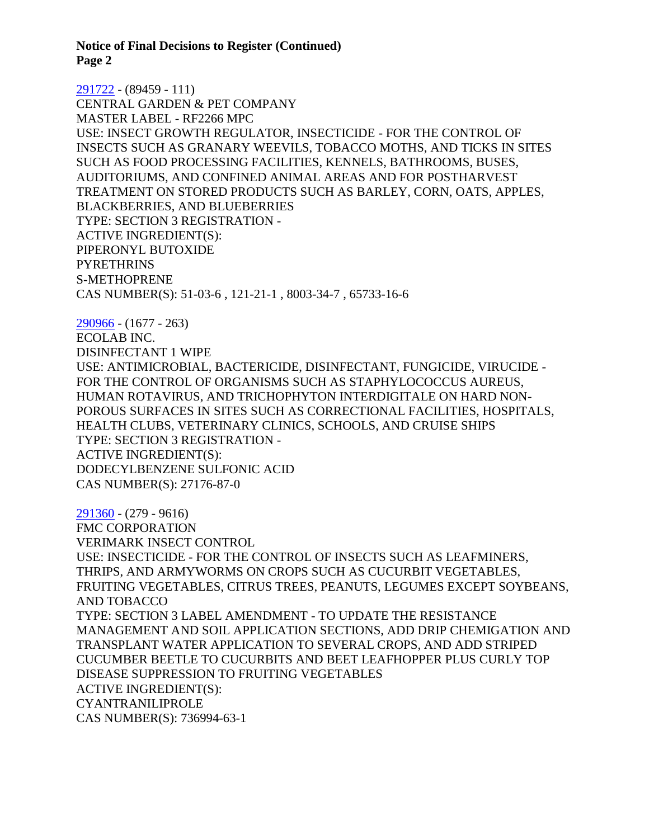**Notice of Final Decisions to Register (Continued) Page 2**

[291722](https://www.cdpr.ca.gov/docs/registration/nod/public_reports/291722.pdf) - (89459 - 111) CENTRAL GARDEN & PET COMPANY MASTER LABEL - RF2266 MPC USE: INSECT GROWTH REGULATOR, INSECTICIDE - FOR THE CONTROL OF INSECTS SUCH AS GRANARY WEEVILS, TOBACCO MOTHS, AND TICKS IN SITES SUCH AS FOOD PROCESSING FACILITIES, KENNELS, BATHROOMS, BUSES, AUDITORIUMS, AND CONFINED ANIMAL AREAS AND FOR POSTHARVEST TREATMENT ON STORED PRODUCTS SUCH AS BARLEY, CORN, OATS, APPLES, BLACKBERRIES, AND BLUEBERRIES TYPE: SECTION 3 REGISTRATION - ACTIVE INGREDIENT(S): PIPERONYL BUTOXIDE **PYRETHRINS** S-METHOPRENE CAS NUMBER(S): 51-03-6 , 121-21-1 , 8003-34-7 , 65733-16-6

[290966](https://www.cdpr.ca.gov/docs/registration/nod/public_reports/290966.pdf) - (1677 - 263) ECOLAB INC. DISINFECTANT 1 WIPE USE: ANTIMICROBIAL, BACTERICIDE, DISINFECTANT, FUNGICIDE, VIRUCIDE - FOR THE CONTROL OF ORGANISMS SUCH AS STAPHYLOCOCCUS AUREUS, HUMAN ROTAVIRUS, AND TRICHOPHYTON INTERDIGITALE ON HARD NON-POROUS SURFACES IN SITES SUCH AS CORRECTIONAL FACILITIES, HOSPITALS, HEALTH CLUBS, VETERINARY CLINICS, SCHOOLS, AND CRUISE SHIPS TYPE: SECTION 3 REGISTRATION - ACTIVE INGREDIENT(S): DODECYLBENZENE SULFONIC ACID CAS NUMBER(S): 27176-87-0

[291360](https://www.cdpr.ca.gov/docs/registration/nod/public_reports/291360.pdf) - (279 - 9616) FMC CORPORATION VERIMARK INSECT CONTROL USE: INSECTICIDE - FOR THE CONTROL OF INSECTS SUCH AS LEAFMINERS, THRIPS, AND ARMYWORMS ON CROPS SUCH AS CUCURBIT VEGETABLES, FRUITING VEGETABLES, CITRUS TREES, PEANUTS, LEGUMES EXCEPT SOYBEANS, AND TOBACCO TYPE: SECTION 3 LABEL AMENDMENT - TO UPDATE THE RESISTANCE MANAGEMENT AND SOIL APPLICATION SECTIONS, ADD DRIP CHEMIGATION AND TRANSPLANT WATER APPLICATION TO SEVERAL CROPS, AND ADD STRIPED CUCUMBER BEETLE TO CUCURBITS AND BEET LEAFHOPPER PLUS CURLY TOP DISEASE SUPPRESSION TO FRUITING VEGETABLES ACTIVE INGREDIENT(S): CYANTRANILIPROLE CAS NUMBER(S): 736994-63-1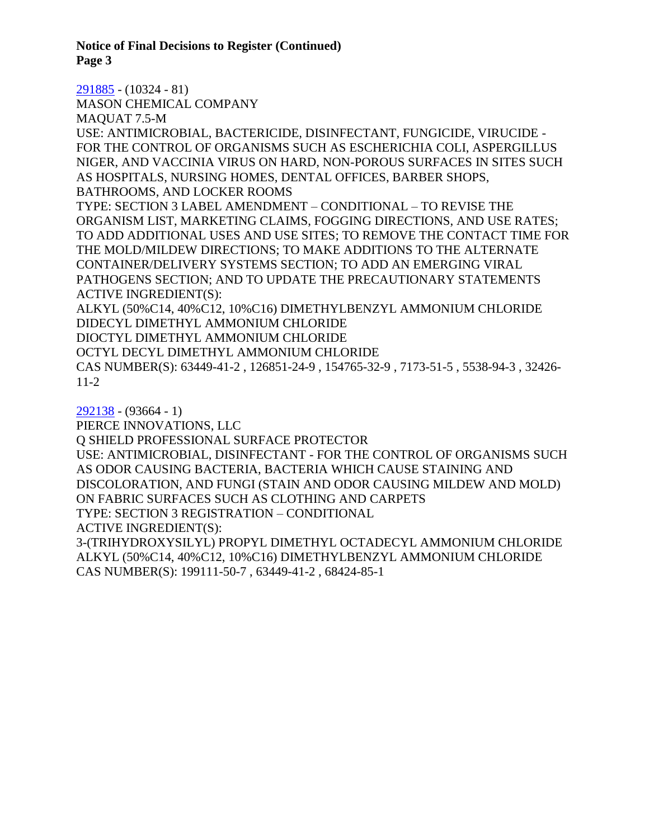**Notice of Final Decisions to Register (Continued) Page 3**

[291885](https://www.cdpr.ca.gov/docs/registration/nod/public_reports/291885.pdf) - (10324 - 81) MASON CHEMICAL COMPANY MAQUAT 7.5-M USE: ANTIMICROBIAL, BACTERICIDE, DISINFECTANT, FUNGICIDE, VIRUCIDE - FOR THE CONTROL OF ORGANISMS SUCH AS ESCHERICHIA COLI, ASPERGILLUS NIGER, AND VACCINIA VIRUS ON HARD, NON-POROUS SURFACES IN SITES SUCH AS HOSPITALS, NURSING HOMES, DENTAL OFFICES, BARBER SHOPS, BATHROOMS, AND LOCKER ROOMS TYPE: SECTION 3 LABEL AMENDMENT – CONDITIONAL – TO REVISE THE ORGANISM LIST, MARKETING CLAIMS, FOGGING DIRECTIONS, AND USE RATES; TO ADD ADDITIONAL USES AND USE SITES; TO REMOVE THE CONTACT TIME FOR THE MOLD/MILDEW DIRECTIONS; TO MAKE ADDITIONS TO THE ALTERNATE CONTAINER/DELIVERY SYSTEMS SECTION; TO ADD AN EMERGING VIRAL PATHOGENS SECTION; AND TO UPDATE THE PRECAUTIONARY STATEMENTS ACTIVE INGREDIENT(S): ALKYL (50%C14, 40%C12, 10%C16) DIMETHYLBENZYL AMMONIUM CHLORIDE DIDECYL DIMETHYL AMMONIUM CHLORIDE DIOCTYL DIMETHYL AMMONIUM CHLORIDE OCTYL DECYL DIMETHYL AMMONIUM CHLORIDE CAS NUMBER(S): 63449-41-2 , 126851-24-9 , 154765-32-9 , 7173-51-5 , 5538-94-3 , 32426-

11-2

[292138](https://www.cdpr.ca.gov/docs/registration/nod/public_reports/292138.pdf) - (93664 - 1) PIERCE INNOVATIONS, LLC Q SHIELD PROFESSIONAL SURFACE PROTECTOR USE: ANTIMICROBIAL, DISINFECTANT - FOR THE CONTROL OF ORGANISMS SUCH AS ODOR CAUSING BACTERIA, BACTERIA WHICH CAUSE STAINING AND DISCOLORATION, AND FUNGI (STAIN AND ODOR CAUSING MILDEW AND MOLD) ON FABRIC SURFACES SUCH AS CLOTHING AND CARPETS TYPE: SECTION 3 REGISTRATION – CONDITIONAL ACTIVE INGREDIENT(S): 3-(TRIHYDROXYSILYL) PROPYL DIMETHYL OCTADECYL AMMONIUM CHLORIDE

ALKYL (50%C14, 40%C12, 10%C16) DIMETHYLBENZYL AMMONIUM CHLORIDE CAS NUMBER(S): 199111-50-7 , 63449-41-2 , 68424-85-1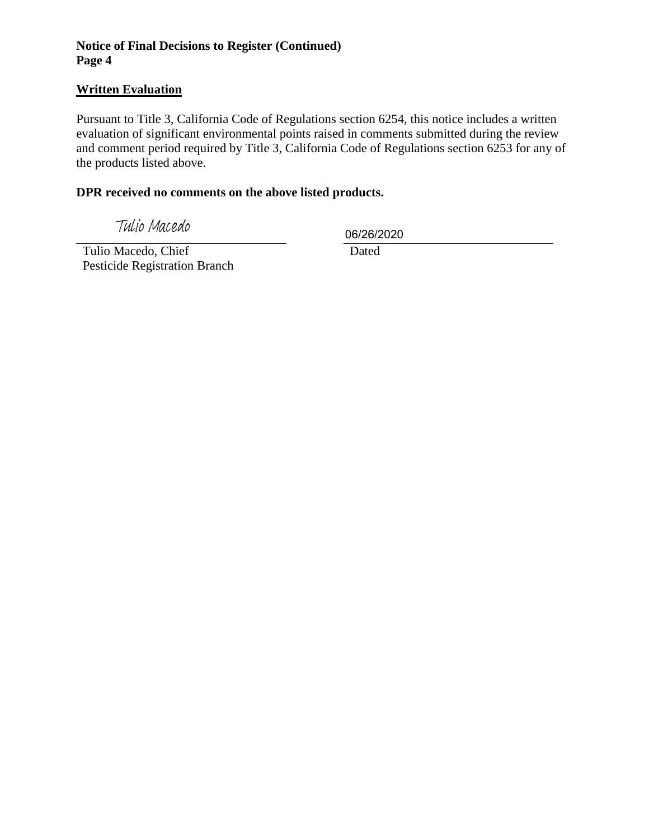# **Notice of Final Decisions to Register (Continued) Page 4**

# **Written Evaluation**

Pursuant to Title 3, California Code of Regulations section 6254, this notice includes a written evaluation of significant environmental points raised in comments submitted during the review and comment period required by Title 3, California Code of Regulations section 6253 for any of the products listed above.

# **DPR received no comments on the above listed products.**

Tulio Macedo

06/26/2020

 Tulio Macedo, Chief Pesticide Registration Branch

Dated